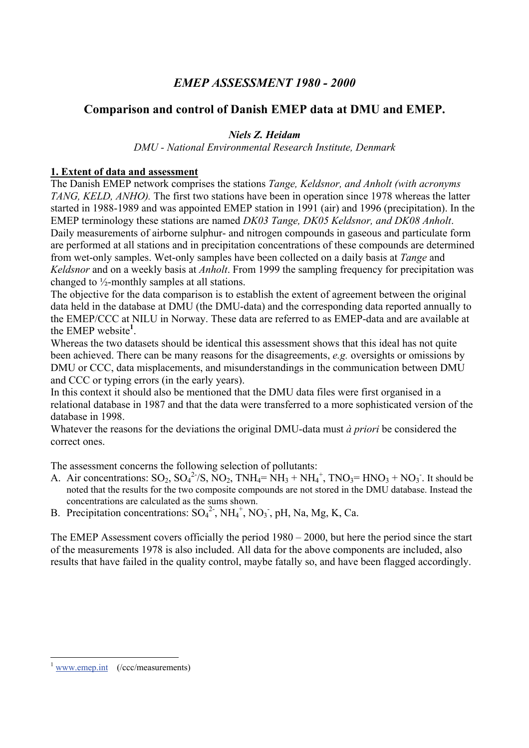# *EMEP ASSESSMENT 1980 - 2000*

# **Comparison and control of Danish EMEP data at DMU and EMEP.**

### *Niels Z. Heidam*

*DMU - National Environmental Research Institute, Denmark* 

### **1. Extent of data and assessment**

The Danish EMEP network comprises the stations *Tange, Keldsnor, and Anholt (with acronyms TANG, KELD, ANHO).* The first two stations have been in operation since 1978 whereas the latter started in 1988-1989 and was appointed EMEP station in 1991 (air) and 1996 (precipitation). In the EMEP terminology these stations are named *DK03 Tange, DK05 Keldsnor, and DK08 Anholt*. Daily measurements of airborne sulphur- and nitrogen compounds in gaseous and particulate form are performed at all stations and in precipitation concentrations of these compounds are determined from wet-only samples. Wet-only samples have been collected on a daily basis at *Tange* and *Keldsnor* and on a weekly basis at *Anholt*. From 1999 the sampling frequency for precipitation was changed to ½-monthly samples at all stations.

The objective for the data comparison is to establish the extent of agreement between the original data held in the database at DMU (the DMU-data) and the corresponding data reported annually to the EMEP/CCC at NILU in Norway. These data are referred to as EMEP-data and are available at the EMEP website**<sup>1</sup>** .

Whereas the two datasets should be identical this assessment shows that this ideal has not quite been achieved. There can be many reasons for the disagreements, *e.g.* oversights or omissions by DMU or CCC, data misplacements, and misunderstandings in the communication between DMU and CCC or typing errors (in the early years).

In this context it should also be mentioned that the DMU data files were first organised in a relational database in 1987 and that the data were transferred to a more sophisticated version of the database in 1998.

Whatever the reasons for the deviations the original DMU-data must *à priori* be considered the correct ones.

The assessment concerns the following selection of pollutants:

- A. Air concentrations:  $SO_2$ ,  $SO_4^2/S$ ,  $NO_2$ ,  $TNH_4 = NH_3 + NH_4^+$ ,  $TNO_3 = HNO_3 + NO_3$ . It should be noted that the results for the two composite compounds are not stored in the DMU database. Instead the concentrations are calculated as the sums shown.
- B. Precipitation concentrations:  $SO_4^2$ ,  $NH_4^+$ ,  $NO_3$ , pH, Na, Mg, K, Ca.

The EMEP Assessment covers officially the period 1980 – 2000, but here the period since the start of the measurements 1978 is also included. All data for the above components are included, also results that have failed in the quality control, maybe fatally so, and have been flagged accordingly.

 $\overline{a}$ www.emep.int (/ccc/measurements)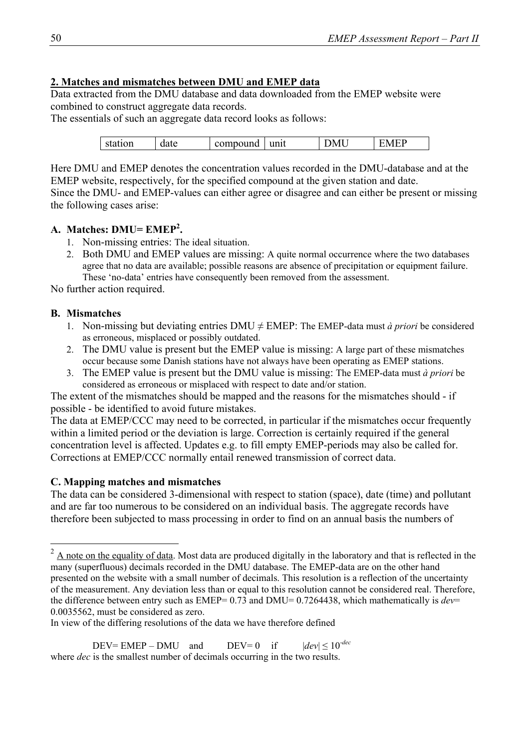# **2. Matches and mismatches between DMU and EMEP data**

Data extracted from the DMU database and data downloaded from the EMEP website were combined to construct aggregate data records.

The essentials of such an aggregate data record looks as follows:

| station | ate<br>uaw | ound<br>,,,,,, | unit | ۰N.<br>$\mathbf{1}$ |  |
|---------|------------|----------------|------|---------------------|--|
|         |            |                |      |                     |  |

Here DMU and EMEP denotes the concentration values recorded in the DMU-database and at the EMEP website, respectively, for the specified compound at the given station and date. Since the DMU- and EMEP-values can either agree or disagree and can either be present or missing the following cases arise:

### **A. Matches: DMU= EMEP2 .**

- 1. Non-missing entries: The ideal situation.
- 2. Both DMU and EMEP values are missing: A quite normal occurrence where the two databases agree that no data are available; possible reasons are absence of precipitation or equipment failure. These 'no-data' entries have consequently been removed from the assessment.

No further action required.

### **B. Mismatches**

 $\overline{a}$ 

- 1. Non-missing but deviating entries  $DMU \neq EMEP$ : The EMEP-data must *à priori* be considered as erroneous, misplaced or possibly outdated.
- 2. The DMU value is present but the EMEP value is missing: A large part of these mismatches occur because some Danish stations have not always have been operating as EMEP stations.
- 3. The EMEP value is present but the DMU value is missing: The EMEP-data must *à priori* be considered as erroneous or misplaced with respect to date and/or station.

The extent of the mismatches should be mapped and the reasons for the mismatches should - if possible - be identified to avoid future mistakes.

The data at EMEP/CCC may need to be corrected, in particular if the mismatches occur frequently within a limited period or the deviation is large. Correction is certainly required if the general concentration level is affected. Updates e.g. to fill empty EMEP-periods may also be called for. Corrections at EMEP/CCC normally entail renewed transmission of correct data.

# **C. Mapping matches and mismatches**

The data can be considered 3-dimensional with respect to station (space), date (time) and pollutant and are far too numerous to be considered on an individual basis. The aggregate records have therefore been subjected to mass processing in order to find on an annual basis the numbers of

In view of the differing resolutions of the data we have therefore defined

 $DEV = EMEP - DMU$  and  $DEV = 0$  if  $|dev| \le 10^{-dec}$ where *dec* is the smallest number of decimals occurring in the two results.

 $2 \text{ A}$  note on the equality of data. Most data are produced digitally in the laboratory and that is reflected in the many (superfluous) decimals recorded in the DMU database. The EMEP-data are on the other hand presented on the website with a small number of decimals. This resolution is a reflection of the uncertainty of the measurement. Any deviation less than or equal to this resolution cannot be considered real. Therefore, the difference between entry such as EMEP= 0.73 and DMU= 0.7264438, which mathematically is *dev*= 0.0035562, must be considered as zero.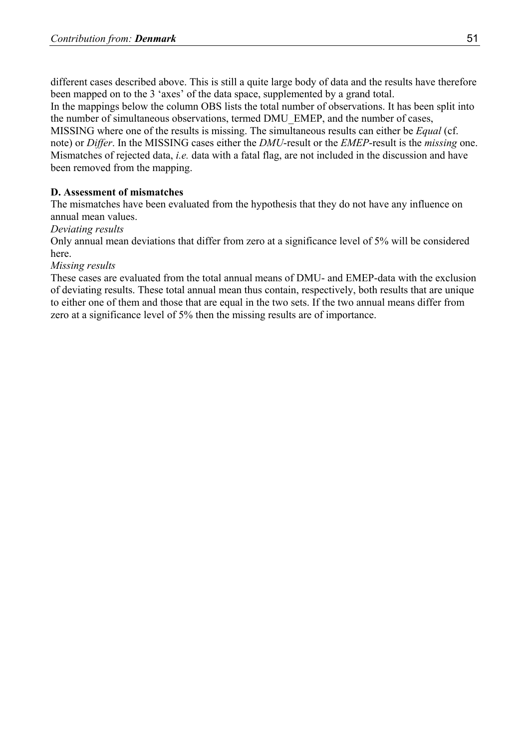different cases described above. This is still a quite large body of data and the results have therefore been mapped on to the 3 'axes' of the data space, supplemented by a grand total.

In the mappings below the column OBS lists the total number of observations. It has been split into the number of simultaneous observations, termed DMU\_EMEP, and the number of cases,

MISSING where one of the results is missing. The simultaneous results can either be *Equal* (cf. note) or *Differ*. In the MISSING cases either the *DMU*-result or the *EMEP*-result is the *missing* one. Mismatches of rejected data, *i.e.* data with a fatal flag, are not included in the discussion and have been removed from the mapping.

# **D. Assessment of mismatches**

The mismatches have been evaluated from the hypothesis that they do not have any influence on annual mean values.

### *Deviating results*

Only annual mean deviations that differ from zero at a significance level of 5% will be considered here.

#### *Missing results*

These cases are evaluated from the total annual means of DMU- and EMEP-data with the exclusion of deviating results. These total annual mean thus contain, respectively, both results that are unique to either one of them and those that are equal in the two sets. If the two annual means differ from zero at a significance level of 5% then the missing results are of importance.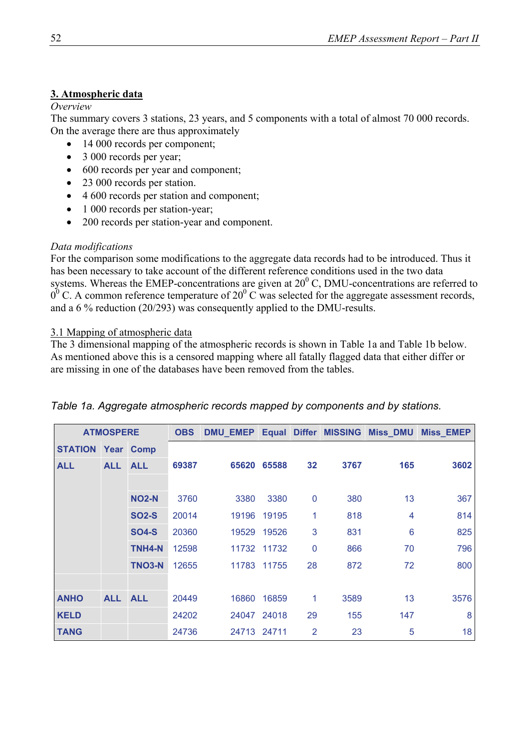# **3. Atmospheric data**

#### *Overview*

The summary covers 3 stations, 23 years, and 5 components with a total of almost 70 000 records. On the average there are thus approximately

- 14 000 records per component;
- 3 000 records per year;
- 600 records per year and component;
- 23 000 records per station.
- 4 600 records per station and component;
- 1 000 records per station-year;
- 200 records per station-year and component.

# *Data modifications*

For the comparison some modifications to the aggregate data records had to be introduced. Thus it has been necessary to take account of the different reference conditions used in the two data systems. Whereas the EMEP-concentrations are given at  $20^{\circ}$  C, DMU-concentrations are referred to  $0^0$  C. A common reference temperature of 20<sup>0</sup> C was selected for the aggregate assessment records, and a 6 % reduction (20/293) was consequently applied to the DMU-results.

# 3.1 Mapping of atmospheric data

The 3 dimensional mapping of the atmospheric records is shown in Table 1a and Table 1b below. As mentioned above this is a censored mapping where all fatally flagged data that either differ or are missing in one of the databases have been removed from the tables.

|                | <b>ATMOSPERE</b> |                  | <b>OBS</b> | <b>DMU_EMEP</b> |             |             | <b>Equal Differ MISSING</b> | <b>Miss_DMU</b>         | <b>Miss_EMEP</b> |
|----------------|------------------|------------------|------------|-----------------|-------------|-------------|-----------------------------|-------------------------|------------------|
| <b>STATION</b> |                  | <b>Year Comp</b> |            |                 |             |             |                             |                         |                  |
| <b>ALL</b>     | <b>ALL</b>       | <b>ALL</b>       | 69387      | 65620           | 65588       | 32          | 3767                        | 165                     | 3602             |
|                |                  |                  |            |                 |             |             |                             |                         |                  |
|                |                  | <b>NO2-N</b>     | 3760       | 3380            | 3380        | 0           | 380                         | 13                      | 367              |
|                |                  | <b>SO2-S</b>     | 20014      | 19196           | 19195       | 1           | 818                         | $\overline{\mathbf{4}}$ | 814              |
|                |                  | <b>SO4-S</b>     | 20360      | 19529           | 19526       | 3           | 831                         | 6                       | 825              |
|                |                  | TNH4-N           | 12598      |                 | 11732 11732 | $\mathbf 0$ | 866                         | 70                      | 796              |
|                |                  | TNO3-N           | 12655      | 11783           | 11755       | 28          | 872                         | 72                      | 800              |
|                |                  |                  |            |                 |             |             |                             |                         |                  |
| <b>ANHO</b>    | ALL ALL          |                  | 20449      | 16860           | 16859       | 1           | 3589                        | 13                      | 3576             |
| <b>KELD</b>    |                  |                  | 24202      |                 | 24047 24018 | 29          | 155                         | 147                     | 8                |
| <b>TANG</b>    |                  |                  | 24736      | 24713 24711     |             | 2           | 23                          | 5                       | 18               |

# *Table 1a. Aggregate atmospheric records mapped by components and by stations.*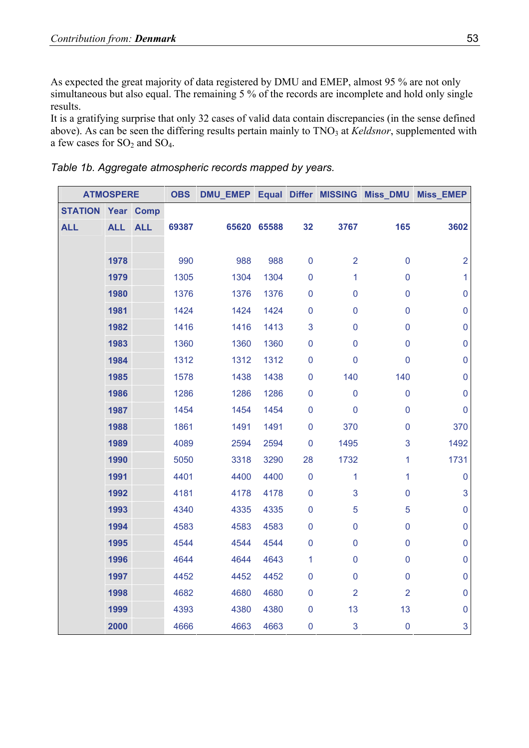As expected the great majority of data registered by DMU and EMEP, almost 95 % are not only simultaneous but also equal. The remaining 5 % of the records are incomplete and hold only single results.

It is a gratifying surprise that only 32 cases of valid data contain discrepancies (in the sense defined above). As can be seen the differing results pertain mainly to TNO<sub>3</sub> at *Keldsnor*, supplemented with a few cases for  $SO_2$  and  $SO_4$ .

|  | Table 1b. Aggregate atmospheric records mapped by years. |  |  |
|--|----------------------------------------------------------|--|--|
|  |                                                          |  |  |

|                | <b>ATMOSPERE</b> |            | <b>OBS</b> |      |             |                |                |                | DMU_EMEP Equal Differ MISSING Miss_DMU Miss_EMEP |
|----------------|------------------|------------|------------|------|-------------|----------------|----------------|----------------|--------------------------------------------------|
| <b>STATION</b> |                  | Year Comp  |            |      |             |                |                |                |                                                  |
| <b>ALL</b>     | <b>ALL</b>       | <b>ALL</b> | 69387      |      | 65620 65588 | 32             | 3767           | 165            | 3602                                             |
|                |                  |            |            |      |             |                |                |                |                                                  |
|                | 1978             |            | 990        | 988  | 988         | $\pmb{0}$      | $\overline{2}$ | $\overline{0}$ | $\overline{2}$                                   |
|                | 1979             |            | 1305       | 1304 | 1304        | $\mathbf 0$    | 1              | $\mathbf 0$    | $\mathbf{1}$                                     |
|                | 1980             |            | 1376       | 1376 | 1376        | $\mathbf 0$    | $\pmb{0}$      | $\pmb{0}$      | $\pmb{0}$                                        |
|                | 1981             |            | 1424       | 1424 | 1424        | $\mathbf 0$    | $\mathbf 0$    | $\mathbf 0$    | $\pmb{0}$                                        |
|                | 1982             |            | 1416       | 1416 | 1413        | 3              | $\pmb{0}$      | $\mathbf 0$    | $\mathbf 0$                                      |
|                | 1983             |            | 1360       | 1360 | 1360        | $\mathbf 0$    | $\mathbf 0$    | $\mathbf 0$    | $\pmb{0}$                                        |
|                | 1984             |            | 1312       | 1312 | 1312        | $\mathbf 0$    | $\mathbf 0$    | $\mathbf 0$    | $\pmb{0}$                                        |
|                | 1985             |            | 1578       | 1438 | 1438        | $\mathbf 0$    | 140            | 140            | $\mathbf 0$                                      |
|                | 1986             |            | 1286       | 1286 | 1286        | $\mathbf 0$    | $\pmb{0}$      | $\pmb{0}$      | $\mathbf 0$                                      |
|                | 1987             |            | 1454       | 1454 | 1454        | $\mathbf 0$    | $\overline{0}$ | $\mathbf 0$    | $\pmb{0}$                                        |
|                | 1988             |            | 1861       | 1491 | 1491        | $\mathbf 0$    | 370            | $\mathbf 0$    | 370                                              |
|                | 1989             |            | 4089       | 2594 | 2594        | $\overline{0}$ | 1495           | 3              | 1492                                             |
|                | 1990             |            | 5050       | 3318 | 3290        | 28             | 1732           | 1              | 1731                                             |
|                | 1991             |            | 4401       | 4400 | 4400        | $\mathbf 0$    | $\mathbf{1}$   | 1              | $\mathbf 0$                                      |
|                | 1992             |            | 4181       | 4178 | 4178        | $\mathbf 0$    | 3              | $\overline{0}$ | $\mathbf{3}$                                     |
|                | 1993             |            | 4340       | 4335 | 4335        | $\mathbf 0$    | 5              | 5              | $\pmb{0}$                                        |
|                | 1994             |            | 4583       | 4583 | 4583        | $\mathbf 0$    | $\pmb{0}$      | $\overline{0}$ | $\mathbf 0$                                      |
|                | 1995             |            | 4544       | 4544 | 4544        | $\mathbf 0$    | $\mathsf 0$    | $\pmb{0}$      | $\pmb{0}$                                        |
|                | 1996             |            | 4644       | 4644 | 4643        | 1              | $\pmb{0}$      | $\pmb{0}$      | $\pmb{0}$                                        |
|                | 1997             |            | 4452       | 4452 | 4452        | $\mathbf 0$    | $\pmb{0}$      | $\mathbf 0$    | $\mathbf 0$                                      |
|                | 1998             |            | 4682       | 4680 | 4680        | $\mathbf 0$    | $\overline{2}$ | $\overline{2}$ | $\pmb{0}$                                        |
|                | 1999             |            | 4393       | 4380 | 4380        | $\mathbf 0$    | 13             | 13             | $\pmb{0}$                                        |
|                | 2000             |            | 4666       | 4663 | 4663        | $\mathbf 0$    | 3              | $\mathbf 0$    | $\mathbf{3}$                                     |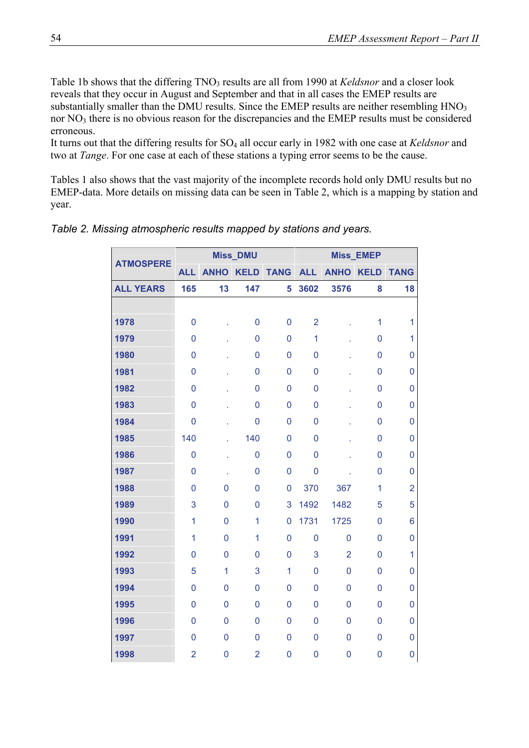Table 1b shows that the differing TNO<sub>3</sub> results are all from 1990 at *Keldsnor* and a closer look reveals that they occur in August and September and that in all cases the EMEP results are substantially smaller than the DMU results. Since the EMEP results are neither resembling  $HNO<sub>3</sub>$ nor NO<sub>3</sub> there is no obvious reason for the discrepancies and the EMEP results must be considered erroneous.

It turns out that the differing results for SO<sub>4</sub> all occur early in 1982 with one case at *Keldsnor* and two at *Tange*. For one case at each of these stations a typing error seems to be the cause.

Tables 1 also shows that the vast majority of the incomplete records hold only DMU results but no EMEP-data. More details on missing data can be seen in Table 2, which is a mapping by station and year.

|                  |                |                | <b>Miss_DMU</b> |                |                |                | Miss_EMEP      |                |
|------------------|----------------|----------------|-----------------|----------------|----------------|----------------|----------------|----------------|
| <b>ATMOSPERE</b> | <b>ALL</b>     | <b>ANHO</b>    | <b>KELD</b>     | <b>TANG</b>    | <b>ALL</b>     | <b>ANHO</b>    | <b>KELD</b>    | <b>TANG</b>    |
| <b>ALL YEARS</b> | 165            | 13             | 147             | 5              | 3602           | 3576           | 8              | 18             |
|                  |                |                |                 |                |                |                |                |                |
| 1978             | $\overline{0}$ |                | $\overline{0}$  | $\mathbf 0$    | $\overline{2}$ |                | 1              | $\mathbf{1}$   |
| 1979             | $\overline{0}$ |                | 0               | $\overline{0}$ | 1              |                | 0              | $\mathbf{1}$   |
| 1980             | $\overline{0}$ |                | 0               | $\mathbf 0$    | $\overline{0}$ |                | 0              | 0              |
| 1981             | $\overline{0}$ |                | 0               | $\mathbf 0$    | $\overline{0}$ |                | 0              | $\overline{0}$ |
| 1982             | $\overline{0}$ |                | 0               | $\mathbf 0$    | $\mathbf 0$    |                | 0              | 0              |
| 1983             | $\overline{0}$ |                | 0               | $\mathbf 0$    | $\overline{0}$ |                | 0              | $\overline{0}$ |
| 1984             | $\overline{0}$ |                | $\mathbf 0$     | $\mathbf 0$    | $\mathbf 0$    |                | 0              | 0              |
| 1985             | 140            |                | 140             | $\mathbf 0$    | $\overline{0}$ |                | 0              | $\overline{0}$ |
| 1986             | $\mathbf 0$    |                | 0               | $\mathbf 0$    | $\mathbf 0$    |                | 0              | 0              |
| 1987             | $\overline{0}$ | l,             | 0               | $\mathbf 0$    | $\overline{0}$ |                | 0              | 0              |
| 1988             | $\overline{0}$ | 0              | 0               | $\mathbf 0$    | 370            | 367            | 1              | $\overline{2}$ |
| 1989             | 3              | $\overline{0}$ | 0               | 3              | 1492           | 1482           | 5              | 5              |
| 1990             | 1              | 0              | 1               | $\mathbf 0$    | 1731           | 1725           | 0              | 6              |
| 1991             | 1              | 0              | 1               | $\overline{0}$ | $\mathbf 0$    | 0              | 0              | 0              |
| 1992             | $\overline{0}$ | 0              | 0               | $\mathbf 0$    | 3              | $\overline{2}$ | 0              | $\mathbf{1}$   |
| 1993             | 5              | 1              | 3               | $\mathbf{1}$   | $\Omega$       | $\Omega$       | $\Omega$       | 0              |
| 1994             | $\Omega$       | $\Omega$       | 0               | $\overline{0}$ | $\mathbf{0}$   | 0              | 0              | $\mathbf{0}$   |
| 1995             | $\Omega$       | $\Omega$       | $\Omega$        | $\overline{0}$ | $\Omega$       | 0              | $\mathbf{0}$   | $\mathbf{0}$   |
| 1996             | $\overline{0}$ | 0              | $\mathbf{0}$    | $\overline{0}$ | $\mathbf{0}$   | 0              | $\mathbf{0}$   | 0              |
| 1997             | $\Omega$       | $\Omega$       | 0               | $\mathbf 0$    | $\overline{0}$ | 0              | 0              | 0              |
| 1998             | $\overline{2}$ | $\mathbf{0}$   | $\overline{2}$  | $\mathbf{0}$   | $\mathbf 0$    | $\overline{0}$ | $\overline{0}$ | 0              |

*Table 2. Missing atmospheric results mapped by stations and years.*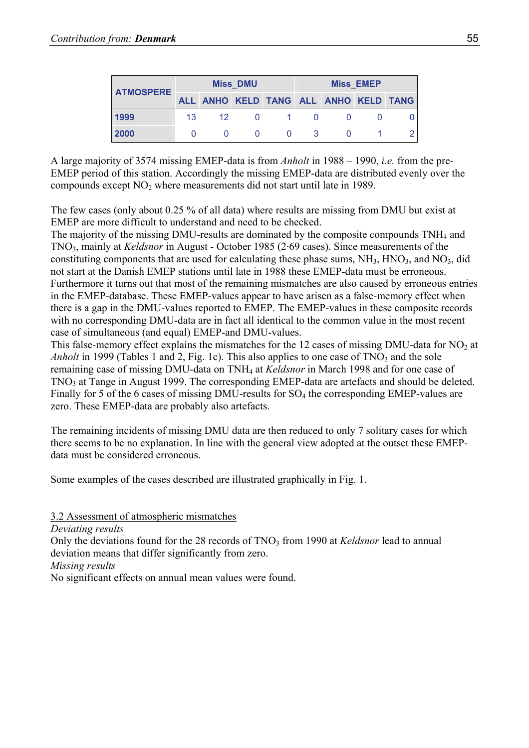| <b>ATMOSPERE</b> |    |                                       | <b>Miss DMU</b> |            | <b>Miss EMEP</b> |  |  |  |  |
|------------------|----|---------------------------------------|-----------------|------------|------------------|--|--|--|--|
|                  |    | ALL ANHO KELD TANG ALL ANHO KELD TANG |                 |            |                  |  |  |  |  |
| 1999             | 13 | 12 <sup>1</sup>                       | $\mathbf{0}$    | $\sim$ 1 0 |                  |  |  |  |  |
| 2000             |    |                                       |                 |            |                  |  |  |  |  |

A large majority of 3574 missing EMEP-data is from *Anholt* in 1988 – 1990, *i.e.* from the pre-EMEP period of this station. Accordingly the missing EMEP-data are distributed evenly over the compounds except NO2 where measurements did not start until late in 1989.

The few cases (only about 0.25 % of all data) where results are missing from DMU but exist at EMEP are more difficult to understand and need to be checked.

The majority of the missing DMU-results are dominated by the composite compounds TNH4 and TNO3, mainly at *Keldsnor* in August - October 1985 (2·69 cases). Since measurements of the constituting components that are used for calculating these phase sums,  $NH<sub>3</sub>$ ,  $HNO<sub>3</sub>$ , and  $NO<sub>3</sub>$ , did not start at the Danish EMEP stations until late in 1988 these EMEP-data must be erroneous. Furthermore it turns out that most of the remaining mismatches are also caused by erroneous entries in the EMEP-database. These EMEP-values appear to have arisen as a false-memory effect when there is a gap in the DMU-values reported to EMEP. The EMEP-values in these composite records with no corresponding DMU-data are in fact all identical to the common value in the most recent case of simultaneous (and equal) EMEP-and DMU-values.

This false-memory effect explains the mismatches for the 12 cases of missing DMU-data for  $NO<sub>2</sub>$  at *Anholt* in 1999 (Tables 1 and 2, Fig. 1c). This also applies to one case of TNO<sub>3</sub> and the sole remaining case of missing DMU-data on TNH4 at *Keldsnor* in March 1998 and for one case of TNO3 at Tange in August 1999. The corresponding EMEP-data are artefacts and should be deleted. Finally for 5 of the 6 cases of missing DMU-results for SO<sub>4</sub> the corresponding EMEP-values are zero. These EMEP-data are probably also artefacts.

The remaining incidents of missing DMU data are then reduced to only 7 solitary cases for which there seems to be no explanation. In line with the general view adopted at the outset these EMEPdata must be considered erroneous.

Some examples of the cases described are illustrated graphically in Fig. 1.

3.2 Assessment of atmospheric mismatches *Deviating results*  Only the deviations found for the 28 records of TNO<sub>3</sub> from 1990 at *Keldsnor* lead to annual deviation means that differ significantly from zero. *Missing results* No significant effects on annual mean values were found.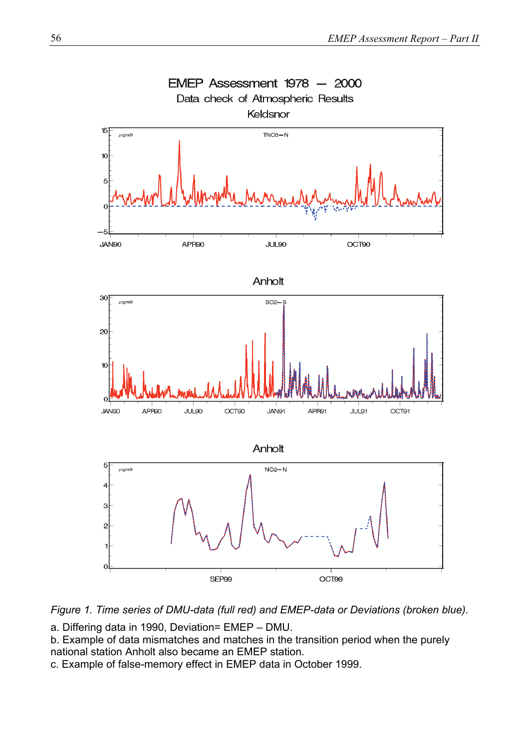

*Figure 1. Time series of DMU-data (full red) and EMEP-data or Deviations (broken blue).* 

a. Differing data in 1990, Deviation= EMEP – DMU.

b. Example of data mismatches and matches in the transition period when the purely national station Anholt also became an EMEP station.

c. Example of false-memory effect in EMEP data in October 1999.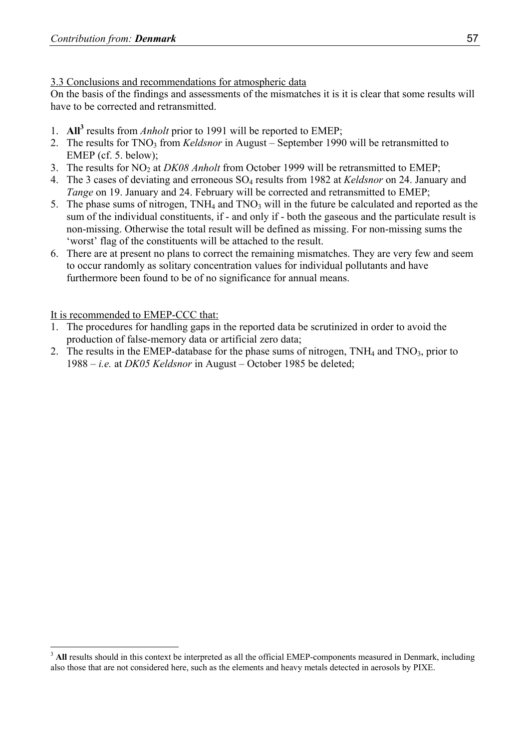#### 3.3 Conclusions and recommendations for atmospheric data

On the basis of the findings and assessments of the mismatches it is it is clear that some results will have to be corrected and retransmitted.

- 1. **All<sup>3</sup>** results from *Anholt* prior to 1991 will be reported to EMEP;
- 2. The results for TNO<sub>3</sub> from *Keldsnor* in August September 1990 will be retransmitted to EMEP (cf. 5. below);
- 3. The results for NO2 at *DK08 Anholt* from October 1999 will be retransmitted to EMEP;
- 4. The 3 cases of deviating and erroneous SO4 results from 1982 at *Keldsnor* on 24. January and *Tange* on 19. January and 24. February will be corrected and retransmitted to EMEP;
- 5. The phase sums of nitrogen, TNH<sub>4</sub> and TNO<sub>3</sub> will in the future be calculated and reported as the sum of the individual constituents, if - and only if - both the gaseous and the particulate result is non-missing. Otherwise the total result will be defined as missing. For non-missing sums the 'worst' flag of the constituents will be attached to the result.
- 6. There are at present no plans to correct the remaining mismatches. They are very few and seem to occur randomly as solitary concentration values for individual pollutants and have furthermore been found to be of no significance for annual means.

# It is recommended to EMEP-CCC that:

 $\overline{a}$ 

- The procedures for handling gaps in the reported data be scrutinized in order to avoid the production of false-memory data or artificial zero data;
- 2. The results in the EMEP-database for the phase sums of nitrogen,  $TNH_4$  and  $TNO_3$ , prior to 1988 – *i.e.* at *DK05 Keldsnor* in August – October 1985 be deleted;

<sup>&</sup>lt;sup>3</sup> All results should in this context be interpreted as all the official EMEP-components measured in Denmark, including also those that are not considered here, such as the elements and heavy metals detected in aerosols by PIXE.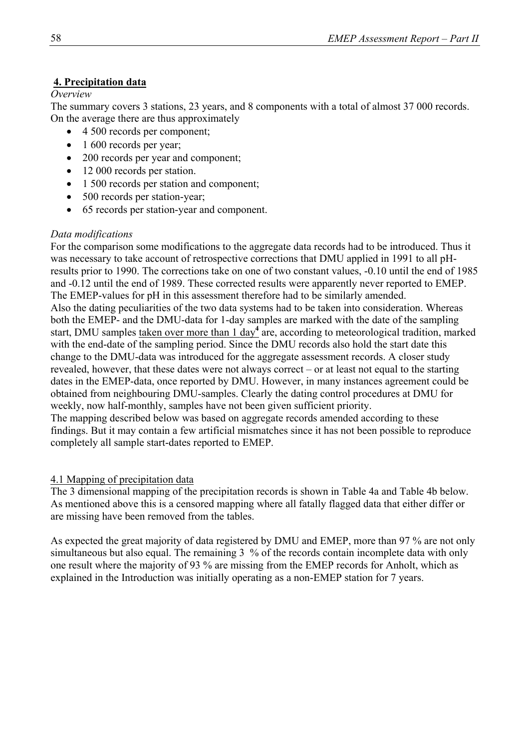### **4. Precipitation data**

#### *Overview*

The summary covers 3 stations, 23 years, and 8 components with a total of almost 37 000 records. On the average there are thus approximately

- 4 500 records per component;
- 1 600 records per year;
- 200 records per year and component;
- 12 000 records per station.
- 1 500 records per station and component;
- 500 records per station-year;
- 65 records per station-year and component.

#### *Data modifications*

For the comparison some modifications to the aggregate data records had to be introduced. Thus it was necessary to take account of retrospective corrections that DMU applied in 1991 to all pHresults prior to 1990. The corrections take on one of two constant values, -0.10 until the end of 1985 and -0.12 until the end of 1989. These corrected results were apparently never reported to EMEP. The EMEP-values for pH in this assessment therefore had to be similarly amended. Also the dating peculiarities of the two data systems had to be taken into consideration. Whereas both the EMEP- and the DMU-data for 1-day samples are marked with the date of the sampling start, DMU samples taken over more than 1 day<sup>4</sup> are, according to meteorological tradition, marked with the end-date of the sampling period. Since the DMU records also hold the start date this change to the DMU-data was introduced for the aggregate assessment records. A closer study revealed, however, that these dates were not always correct – or at least not equal to the starting dates in the EMEP-data, once reported by DMU. However, in many instances agreement could be obtained from neighbouring DMU-samples. Clearly the dating control procedures at DMU for weekly, now half-monthly, samples have not been given sufficient priority.

The mapping described below was based on aggregate records amended according to these findings. But it may contain a few artificial mismatches since it has not been possible to reproduce completely all sample start-dates reported to EMEP.

#### 4.1 Mapping of precipitation data

The 3 dimensional mapping of the precipitation records is shown in Table 4a and Table 4b below. As mentioned above this is a censored mapping where all fatally flagged data that either differ or are missing have been removed from the tables.

As expected the great majority of data registered by DMU and EMEP, more than 97 % are not only simultaneous but also equal. The remaining 3 % of the records contain incomplete data with only one result where the majority of 93 % are missing from the EMEP records for Anholt, which as explained in the Introduction was initially operating as a non-EMEP station for 7 years.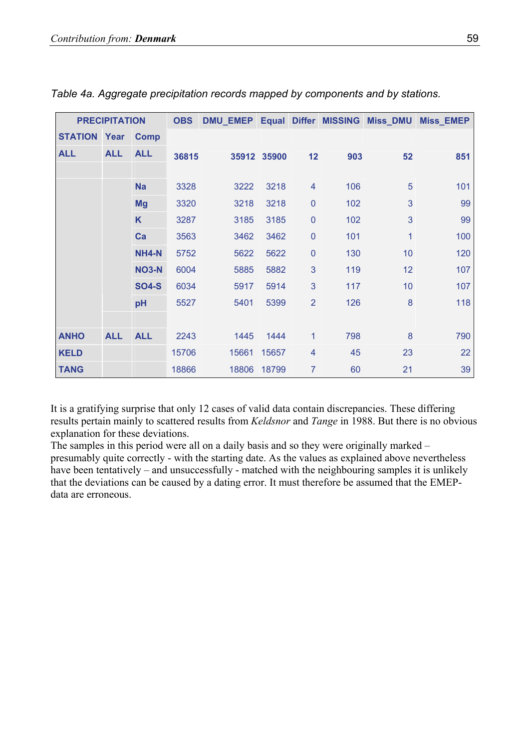|                     | <b>PRECIPITATION</b> |              | <b>OBS</b> | <b>DMU_EMEP</b> |             |                | Equal Differ MISSING | <b>Miss_DMU</b> | <b>Miss_EMEP</b> |
|---------------------|----------------------|--------------|------------|-----------------|-------------|----------------|----------------------|-----------------|------------------|
| <b>STATION Year</b> |                      | <b>Comp</b>  |            |                 |             |                |                      |                 |                  |
| <b>ALL</b>          | <b>ALL</b>           | <b>ALL</b>   | 36815      |                 | 35912 35900 | 12             | 903                  | 52              | 851              |
|                     |                      |              |            |                 |             |                |                      |                 |                  |
|                     |                      | <b>Na</b>    | 3328       | 3222            | 3218        | 4              | 106                  | 5               | 101              |
|                     |                      | <b>Mg</b>    | 3320       | 3218            | 3218        | $\mathbf 0$    | 102                  | 3               | 99               |
|                     |                      | K            | 3287       | 3185            | 3185        | $\mathbf 0$    | 102                  | 3               | 99               |
|                     |                      | Ca           | 3563       | 3462            | 3462        | $\pmb{0}$      | 101                  | 1               | 100              |
|                     |                      | <b>NH4-N</b> | 5752       | 5622            | 5622        | $\pmb{0}$      | 130                  | 10              | 120              |
|                     |                      | <b>NO3-N</b> | 6004       | 5885            | 5882        | 3              | 119                  | 12              | 107              |
|                     |                      | <b>SO4-S</b> | 6034       | 5917            | 5914        | 3              | 117                  | 10              | 107              |
|                     |                      | pH           | 5527       | 5401            | 5399        | $\overline{2}$ | 126                  | 8               | 118              |
|                     |                      |              |            |                 |             |                |                      |                 |                  |
| <b>ANHO</b>         | <b>ALL</b>           | <b>ALL</b>   | 2243       | 1445            | 1444        | $\mathbf{1}$   | 798                  | 8               | 790              |
| <b>KELD</b>         |                      |              | 15706      | 15661           | 15657       | 4              | 45                   | 23              | 22               |
| <b>TANG</b>         |                      |              | 18866      | 18806           | 18799       | $\overline{7}$ | 60                   | 21              | 39               |

*Table 4a. Aggregate precipitation records mapped by components and by stations.* 

It is a gratifying surprise that only 12 cases of valid data contain discrepancies. These differing results pertain mainly to scattered results from *Keldsnor* and *Tange* in 1988. But there is no obvious explanation for these deviations.

The samples in this period were all on a daily basis and so they were originally marked – presumably quite correctly - with the starting date. As the values as explained above nevertheless have been tentatively – and unsuccessfully - matched with the neighbouring samples it is unlikely that the deviations can be caused by a dating error. It must therefore be assumed that the EMEPdata are erroneous.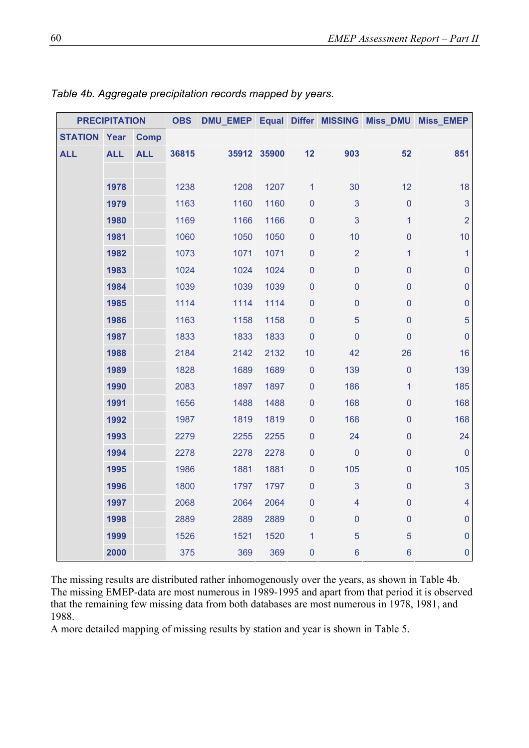| <b>PRECIPITATION</b> |            | <b>OBS</b>  | DMU_EMEP Equal Differ MISSING Miss_DMU Miss_EMEP |      |             |              |                |                |                         |
|----------------------|------------|-------------|--------------------------------------------------|------|-------------|--------------|----------------|----------------|-------------------------|
| <b>STATION</b>       | Year       | <b>Comp</b> |                                                  |      |             |              |                |                |                         |
| <b>ALL</b>           | <b>ALL</b> | <b>ALL</b>  | 36815                                            |      | 35912 35900 | 12           | 903            | 52             | 851                     |
|                      |            |             |                                                  |      |             |              |                |                |                         |
|                      | 1978       |             | 1238                                             | 1208 | 1207        | $\mathbf{1}$ | 30             | 12             | 18                      |
|                      | 1979       |             | 1163                                             | 1160 | 1160        | $\pmb{0}$    | 3              | $\pmb{0}$      | 3                       |
|                      | 1980       |             | 1169                                             | 1166 | 1166        | $\mathbf 0$  | $\mathbf{3}$   | 1              | $\overline{2}$          |
|                      | 1981       |             | 1060                                             | 1050 | 1050        | $\mathbf 0$  | 10             | $\overline{0}$ | 10                      |
|                      | 1982       |             | 1073                                             | 1071 | 1071        | $\mathbf 0$  | $\overline{2}$ | 1              | $\mathbf{1}$            |
|                      | 1983       |             | 1024                                             | 1024 | 1024        | $\mathbf 0$  | $\pmb{0}$      | $\overline{0}$ | $\mathbf 0$             |
|                      | 1984       |             | 1039                                             | 1039 | 1039        | $\mathbf 0$  | $\mathbf 0$    | $\mathbf 0$    | $\mathbf 0$             |
|                      | 1985       |             | 1114                                             | 1114 | 1114        | $\mathbf 0$  | $\mathbf 0$    | $\mathbf 0$    | $\mathbf 0$             |
|                      | 1986       |             | 1163                                             | 1158 | 1158        | $\pmb{0}$    | 5              | $\mathbf 0$    | $\overline{5}$          |
|                      | 1987       |             | 1833                                             | 1833 | 1833        | $\mathbf 0$  | $\mathbf 0$    | $\mathbf 0$    | $\mathbf 0$             |
|                      | 1988       |             | 2184                                             | 2142 | 2132        | 10           | 42             | 26             | 16                      |
|                      | 1989       |             | 1828                                             | 1689 | 1689        | $\mathbf 0$  | 139            | $\mathbf 0$    | 139                     |
|                      | 1990       |             | 2083                                             | 1897 | 1897        | $\pmb{0}$    | 186            | 1              | 185                     |
|                      | 1991       |             | 1656                                             | 1488 | 1488        | $\mathbf 0$  | 168            | $\mathbf 0$    | 168                     |
|                      | 1992       |             | 1987                                             | 1819 | 1819        | $\mathbf 0$  | 168            | $\mathbf 0$    | 168                     |
|                      | 1993       |             | 2279                                             | 2255 | 2255        | $\mathbf 0$  | 24             | $\mathbf 0$    | 24                      |
|                      | 1994       |             | 2278                                             | 2278 | 2278        | $\pmb{0}$    | $\pmb{0}$      | $\mathbf 0$    | $\mathbf{0}$            |
|                      | 1995       |             | 1986                                             | 1881 | 1881        | $\pmb{0}$    | 105            | $\mathbf 0$    | 105                     |
|                      | 1996       |             | 1800                                             | 1797 | 1797        | $\mathbf 0$  | 3              | $\mathbf 0$    | 3                       |
|                      | 1997       |             | 2068                                             | 2064 | 2064        | $\pmb{0}$    | $\overline{4}$ | $\mathbf 0$    | $\overline{\mathbf{4}}$ |
|                      | 1998       |             | 2889                                             | 2889 | 2889        | $\pmb{0}$    | $\pmb{0}$      | $\pmb{0}$      | $\pmb{0}$               |
|                      | 1999       |             | 1526                                             | 1521 | 1520        | 1            | 5              | 5              | $\pmb{0}$               |
|                      | 2000       |             | 375                                              | 369  | 369         | $\pmb{0}$    | $\bf 6$        | $\bf 6$        | $\mathbf{0}$            |

*Table 4b. Aggregate precipitation records mapped by years.* 

The missing results are distributed rather inhomogenously over the years, as shown in Table 4b. The missing EMEP-data are most numerous in 1989-1995 and apart from that period it is observed that the remaining few missing data from both databases are most numerous in 1978, 1981, and 1988.

A more detailed mapping of missing results by station and year is shown in Table 5.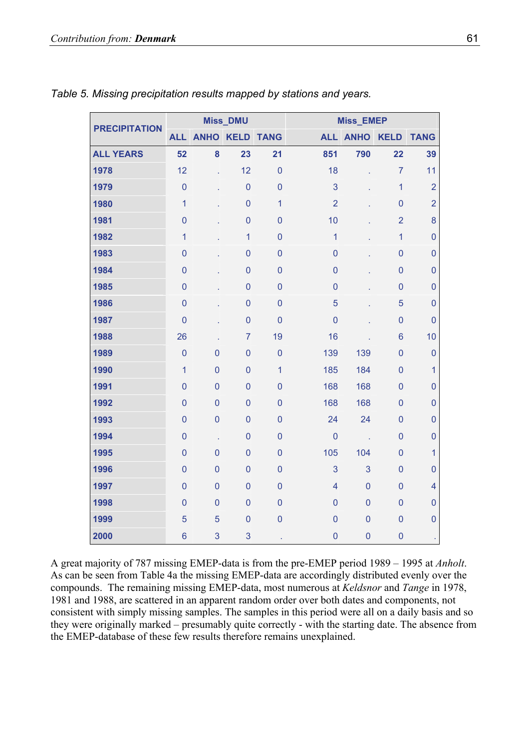| <b>PRECIPITATION</b> |                |                | <b>Miss_DMU</b> |                |                | Miss_EMEP      |                 |                         |
|----------------------|----------------|----------------|-----------------|----------------|----------------|----------------|-----------------|-------------------------|
|                      | <b>ALL</b>     | <b>ANHO</b>    | <b>KELD</b>     | <b>TANG</b>    | <b>ALL</b>     | <b>ANHO</b>    | <b>KELD</b>     | <b>TANG</b>             |
| <b>ALL YEARS</b>     | 52             | 8              | 23              | 21             | 851            | 790            | 22              | 39                      |
| 1978                 | 12             | l.             | 12              | $\overline{0}$ | 18             |                | $\overline{7}$  | 11                      |
| 1979                 | $\overline{0}$ |                | $\overline{0}$  | $\overline{0}$ | 3              |                | $\overline{1}$  | $\overline{2}$          |
| 1980                 | $\overline{1}$ |                | $\mathbf 0$     | $\mathbf{1}$   | $\overline{2}$ |                | $\overline{0}$  | $\overline{2}$          |
| 1981                 | $\mathbf 0$    |                | $\mathbf 0$     | $\mathbf{0}$   | 10             |                | $\overline{2}$  | 8                       |
| 1982                 | $\overline{1}$ |                | $\overline{1}$  | $\overline{0}$ | $\overline{1}$ |                | $\overline{1}$  | $\mathbf 0$             |
| 1983                 | $\mathbf 0$    |                | $\mathbf 0$     | $\overline{0}$ | $\mathbf 0$    |                | $\mathbf 0$     | $\mathbf 0$             |
| 1984                 | $\overline{0}$ |                | $\overline{0}$  | $\overline{0}$ | $\overline{0}$ |                | $\overline{0}$  | $\mathbf 0$             |
| 1985                 | $\mathbf 0$    |                | $\overline{0}$  | $\overline{0}$ | $\overline{0}$ |                | $\mathbf 0$     | $\mathbf 0$             |
| 1986                 | $\overline{0}$ |                | $\overline{0}$  | $\overline{0}$ | 5              |                | 5               | $\overline{0}$          |
| 1987                 | $\overline{0}$ |                | $\mathbf 0$     | $\overline{0}$ | $\overline{0}$ |                | $\mathbf 0$     | $\overline{0}$          |
| 1988                 | 26             |                | $\overline{7}$  | 19             | 16             |                | $6\phantom{1}6$ | 10                      |
| 1989                 | $\overline{0}$ | $\overline{0}$ | $\mathbf 0$     | $\mathbf 0$    | 139            | 139            | $\mathbf 0$     | $\mathbf 0$             |
| 1990                 | $\overline{1}$ | $\mathbf 0$    | $\mathbf 0$     | $\mathbf{1}$   | 185            | 184            | $\mathbf 0$     | 1                       |
| 1991                 | $\overline{0}$ | $\overline{0}$ | $\overline{0}$  | $\overline{0}$ | 168            | 168            | $\overline{0}$  | $\overline{0}$          |
| 1992                 | $\mathbf 0$    | $\mathbf 0$    | $\mathbf 0$     | $\overline{0}$ | 168            | 168            | $\mathbf 0$     | $\mathbf 0$             |
| 1993                 | $\overline{0}$ | $\overline{0}$ | $\overline{0}$  | $\mathbf{0}$   | 24             | 24             | $\overline{0}$  | $\overline{0}$          |
| 1994                 | $\overline{0}$ | ä,             | $\overline{0}$  | $\overline{0}$ | $\mathbf 0$    | У.             | $\mathbf 0$     | $\mathbf 0$             |
| 1995                 | $\mathbf 0$    | $\overline{0}$ | $\mathbf 0$     | $\overline{0}$ | 105            | 104            | $\overline{0}$  | $\mathbf{1}$            |
| 1996                 | $\overline{0}$ | $\overline{0}$ | $\overline{0}$  | $\overline{0}$ | 3              | 3              | $\overline{0}$  | $\mathbf 0$             |
| 1997                 | $\overline{0}$ | $\mathbf 0$    | $\overline{0}$  | $\overline{0}$ | $\overline{4}$ | $\mathbf 0$    | $\overline{0}$  | $\overline{\mathbf{4}}$ |
| 1998                 | $\overline{0}$ | $\overline{0}$ | $\overline{0}$  | $\overline{0}$ | $\overline{0}$ | $\overline{0}$ | $\overline{0}$  | 0                       |
| 1999                 | 5              | 5              | $\mathbf 0$     | $\overline{0}$ | $\overline{0}$ | $\overline{0}$ | $\overline{0}$  | $\mathbf 0$             |
| 2000                 | $6\phantom{1}$ | 3              | 3               |                | $\overline{0}$ | $\mathbf 0$    | $\overline{0}$  |                         |

#### *Table 5. Missing precipitation results mapped by stations and years.*

A great majority of 787 missing EMEP-data is from the pre-EMEP period 1989 – 1995 at *Anholt*. As can be seen from Table 4a the missing EMEP-data are accordingly distributed evenly over the compounds. The remaining missing EMEP-data, most numerous at *Keldsnor* and *Tange* in 1978, 1981 and 1988, are scattered in an apparent random order over both dates and components, not consistent with simply missing samples. The samples in this period were all on a daily basis and so they were originally marked – presumably quite correctly - with the starting date. The absence from the EMEP-database of these few results therefore remains unexplained.